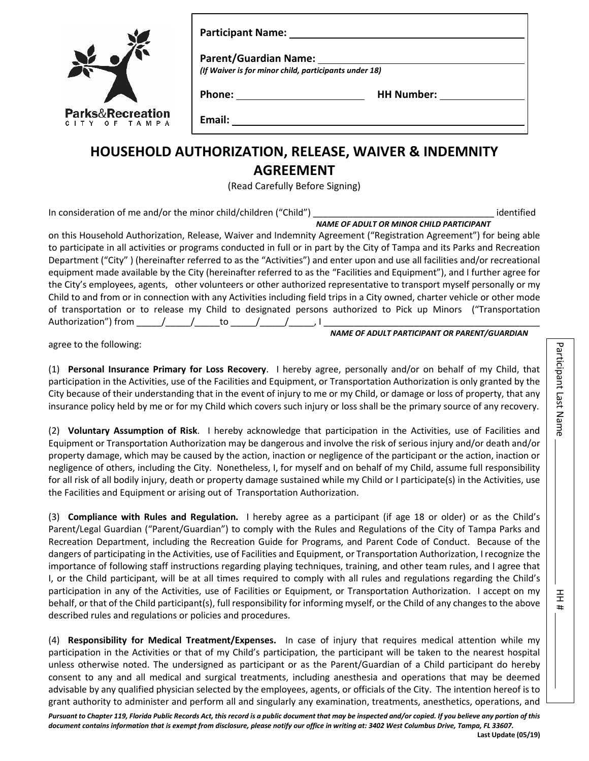| $\frac{1}{2}$                                | Parent/Guardian Name: Names<br>(If Waiver is for minor child, participants under 18) |                   |
|----------------------------------------------|--------------------------------------------------------------------------------------|-------------------|
| <b>Parks&amp;Recreation</b><br>CITY OF TAMPA | Phone: _____________________<br>Email:                                               | <b>HH Number:</b> |

## **HOUSEHOLD AUTHORIZATION, RELEASE, WAIVER & INDEMNITY AGREEMENT**

(Read Carefully Before Signing)

In consideration of me and/or the minor child/children ("Child") example the minor child of the minor child child example the minor child child example the minor child child example the minor child (child example the minor

*NAME OF ADULT OR MINOR CHILD PARTICIPANT* 

 equipment made available by the City (hereinafter referred to as the "Facilities and Equipment"), and I further agree for the City's employees, agents, other volunteers or other authorized representative to transport myself personally or my on this Household Authorization, Release, Waiver and Indemnity Agreement ("Registration Agreement") for being able to participate in all activities or programs conducted in full or in part by the City of Tampa and its Parks and Recreation Department ("City" ) (hereinafter referred to as the "Activities") and enter upon and use all facilities and/or recreational Child to and from or in connection with any Activities including field trips in a City owned, charter vehicle or other mode of transportation or to release my Child to designated persons authorized to Pick up Minors ("Transportation Authorization") from \_\_\_\_\_/\_\_\_\_\_/\_\_\_\_\_to \_\_\_\_\_/\_\_\_\_\_/\_\_\_\_\_, I \_\_\_\_\_\_\_\_\_\_\_\_\_\_\_\_\_\_\_\_\_\_\_\_\_\_\_\_\_\_\_\_\_\_\_\_\_\_\_\_\_\_\_ *NAME OF ADULT PARTICIPANT OR PARENT/GUARDIAN* 

agree to the following:

 insurance policy held by me or for my Child which covers such injury or loss shall be the primary source of any recovery. (1) **Personal Insurance Primary for Loss Recovery**. I hereby agree, personally and/or on behalf of my Child, that participation in the Activities, use of the Facilities and Equipment, or Transportation Authorization is only granted by the City because of their understanding that in the event of injury to me or my Child, or damage or loss of property, that any

 the Facilities and Equipment or arising out of Transportation Authorization. (2) **Voluntary Assumption of Risk**. I hereby acknowledge that participation in the Activities, use of Facilities and Equipment or Transportation Authorization may be dangerous and involve the risk of serious injury and/or death and/or property damage, which may be caused by the action, inaction or negligence of the participant or the action, inaction or negligence of others, including the City. Nonetheless, I, for myself and on behalf of my Child, assume full responsibility for all risk of all bodily injury, death or property damage sustained while my Child or I participate(s) in the Activities, use

 (3) **Compliance with Rules and Regulation.** I hereby agree as a participant (if age 18 or older) or as the Child's Recreation Department, including the Recreation Guide for Programs, and Parent Code of Conduct. Because of the dangers of participating in the Activities, use of Facilities and Equipment, or Transportation Authorization, I recognize the participation in any of the Activities, use of Facilities or Equipment, or Transportation Authorization. I accept on my behalf, or that of the Child participant(s), full responsibility for informing myself, or the Child of any changes to the above Parent/Legal Guardian ("Parent/Guardian") to comply with the Rules and Regulations of the City of Tampa Parks and importance of following staff instructions regarding playing techniques, training, and other team rules, and I agree that I, or the Child participant, will be at all times required to comply with all rules and regulations regarding the Child's described rules and regulations or policies and procedures.

 (4) **Responsibility for Medical Treatment/Expenses.** In case of injury that requires medical attention while my participation in the Activities or that of my Child's participation, the participant will be taken to the nearest hospital unless otherwise noted. The undersigned as participant or as the Parent/Guardian of a Child participant do hereby consent to any and all medical and surgical treatments, including anesthesia and operations that may be deemed advisable by any qualified physician selected by the employees, agents, or officials of the City. The intention hereof is to grant authority to administer and perform all and singularly any examination, treatments, anesthetics, operations, and 王 Ħ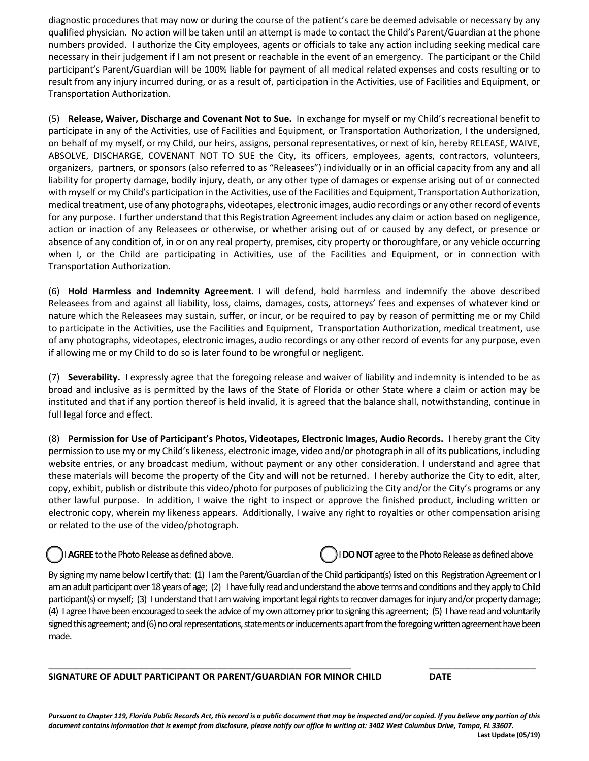qualified physician. No action will be taken until an attempt is made to contact the Child's Parent/Guardian at the phone Transportation Authorization. diagnostic procedures that may now or during the course of the patient's care be deemed advisable or necessary by any numbers provided. I authorize the City employees, agents or officials to take any action including seeking medical care necessary in their judgement if I am not present or reachable in the event of an emergency. The participant or the Child participant's Parent/Guardian will be 100% liable for payment of all medical related expenses and costs resulting or to result from any injury incurred during, or as a result of, participation in the Activities, use of Facilities and Equipment, or

Transportation Authorization.<br>(5) **Release, Waiver, Discharge and Covenant Not to Sue.** In exchange for myself or my Child's recreational benefit to medical treatment, use of any photographs, videotapes, electronic images, audio recordings or any other record of events for any purpose. I further understand that this Registration Agreement includes any claim or action based on negligence, when I, or the Child are participating in Activities, use of the Facilities and Equipment, or in connection with Transportation Authorization. participate in any of the Activities, use of Facilities and Equipment, or Transportation Authorization, I the undersigned, on behalf of my myself, or my Child, our heirs, assigns, personal representatives, or next of kin, hereby RELEASE, WAIVE, ABSOLVE, DISCHARGE, COVENANT NOT TO SUE the City, its officers, employees, agents, contractors, volunteers, organizers, partners, or sponsors (also referred to as "Releasees") individually or in an official capacity from any and all liability for property damage, bodily injury, death, or any other type of damages or expense arising out of or connected with myself or my Child's participation in the Activities, use of the Facilities and Equipment, Transportation Authorization, action or inaction of any Releasees or otherwise, or whether arising out of or caused by any defect, or presence or absence of any condition of, in or on any real property, premises, city property or thoroughfare, or any vehicle occurring

 nature which the Releasees may sustain, suffer, or incur, or be required to pay by reason of permitting me or my Child to participate in the Activities, use the Facilities and Equipment, Transportation Authorization, medical treatment, use of any photographs, videotapes, electronic images, audio recordings or any other record of events for any purpose, even Transportation Authorization. (6) **Hold Harmless and Indemnity Agreement**. I will defend, hold harmless and indemnify the above described Releasees from and against all liability, loss, claims, damages, costs, attorneys' fees and expenses of whatever kind or if allowing me or my Child to do so is later found to be wrongful or negligent.

 (7) **Severability.** I expressly agree that the foregoing release and waiver of liability and indemnity is intended to be as broad and inclusive as is permitted by the laws of the State of Florida or other State where a claim or action may be instituted and that if any portion thereof is held invalid, it is agreed that the balance shall, notwithstanding, continue in full legal force and effect.

 (8) **Permission for Use of Participant's Photos, Videotapes, Electronic Images, Audio Records.** I hereby grant the City these materials will become the property of the City and will not be returned. I hereby authorize the City to edit, alter, copy, exhibit, publish or distribute this video/photo for purposes of publicizing the City and/or the City's programs or any permission to use my or my Child's likeness, electronic image, video and/or photograph in all of its publications, including website entries, or any broadcast medium, without payment or any other consideration. I understand and agree that other lawful purpose. In addition, I waive the right to inspect or approve the finished product, including written or electronic copy, wherein my likeness appears. Additionally, I waive any right to royalties or other compensation arising or related to the use of the video/photograph.

ļ

I **AGREE** to the Photo Release as defined above. **I interest and C** I **DO NOT** agree to the Photo Release as defined above

 participant(s) or myself; (3) I understand that I am waiving important legal rights to recover damages for injury and/or property damage; By signing my name below I certify that: (1) I am the Parent/Guardian of the Child participant(s) listed on this Registration Agreement or I am an adult participant over 18 years of age; (2) I have fully read and understand the above terms and conditions and they apply to Child (4) I agree I have been encouraged to seek the advice of my own attorney prior to signing this agreement; (5) I have read and voluntarily signed this agreement; and (6) no oral representations, statements or inducements apart from the foregoing written agreement have been made.

 **SIGNATURE OF ADULT PARTICIPANT OR PARENT/GUARDIAN FOR MINOR CHILD DATE** 

*Pursuant to Chapter 119, Florida Public Records Act, this record is a public document that may be inspected and/or copied. If you believe any portion of this document contains information that is exempt from disclosure, please notify our office in writing at: 3402 West Columbus Drive, Tampa, FL 33607.*  **Last Update (05/19)** 

 $\overline{\phantom{a}}$  , and the contribution of the contribution of the contribution of the contribution of the contribution of the contribution of the contribution of the contribution of the contribution of the contribution of the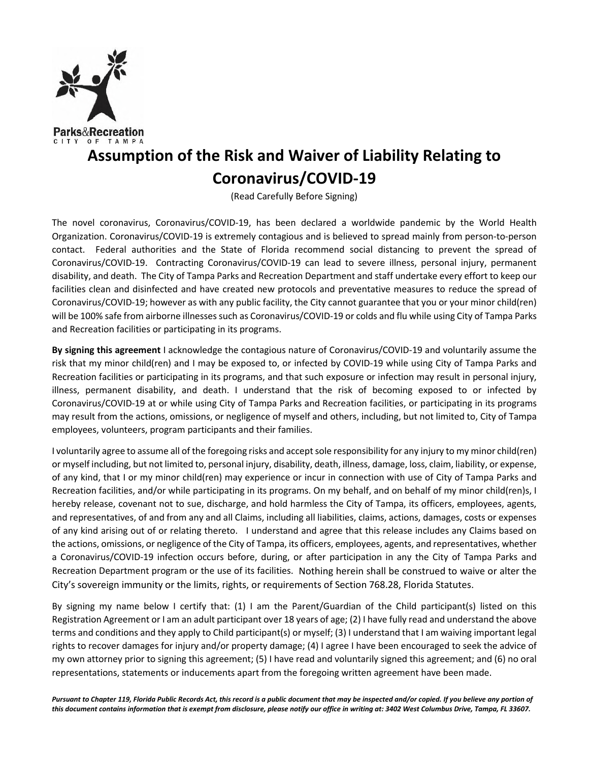

## **Assumption of the Risk and Waiver of Liability Relating to Coronavirus/COVID-19**

(Read Carefully Before Signing)

 The novel coronavirus, Coronavirus/COVID-19, has been declared a worldwide pandemic by the World Health Organization. Coronavirus/COVID-19 is extremely contagious and is believed to spread mainly from person-to-person contact. Federal authorities and the State of Florida recommend social distancing to prevent the spread of Coronavirus/COVID-19. Contracting Coronavirus/COVID-19 can lead to severe illness, personal injury, permanent disability, and death. The City of Tampa Parks and Recreation Department and staff undertake every effort to keep our facilities clean and disinfected and have created new protocols and preventative measures to reduce the spread of Coronavirus/COVID-19; however as with any public facility, the City cannot guarantee that you or your minor child(ren) will be 100% safe from airborne illnesses such as Coronavirus/COVID-19 or colds and flu while using City of Tampa Parks and Recreation facilities or participating in its programs.

 **By signing this agreement** I acknowledge the contagious nature of Coronavirus/COVID-19 and voluntarily assume the risk that my minor child(ren) and I may be exposed to, or infected by COVID-19 while using City of Tampa Parks and Recreation facilities or participating in its programs, and that such exposure or infection may result in personal injury, illness, permanent disability, and death. I understand that the risk of becoming exposed to or infected by Coronavirus/COVID-19 at or while using City of Tampa Parks and Recreation facilities, or participating in its programs may result from the actions, omissions, or negligence of myself and others, including, but not limited to, City of Tampa employees, volunteers, program participants and their families.

 I voluntarily agree to assume all of the foregoing risks and accept sole responsibility for any injury to my minor child(ren) or myself including, but not limited to, personal injury, disability, death, illness, damage, loss, claim, liability, or expense, of any kind, that I or my minor child(ren) may experience or incur in connection with use of City of Tampa Parks and Recreation facilities, and/or while participating in its programs. On my behalf, and on behalf of my minor child(ren)s, I hereby release, covenant not to sue, discharge, and hold harmless the City of Tampa, its officers, employees, agents, and representatives, of and from any and all Claims, including all liabilities, claims, actions, damages, costs or expenses of any kind arising out of or relating thereto. I understand and agree that this release includes any Claims based on the actions, omissions, or negligence of the City of Tampa, its officers, employees, agents, and representatives, whether a Coronavirus/COVID-19 infection occurs before, during, or after participation in any the City of Tampa Parks and Recreation Department program or the use of its facilities. Nothing herein shall be construed to waive or alter the City's sovereign immunity or the limits, rights, or requirements of Section 768.28, Florida Statutes.

 By signing my name below I certify that: (1) I am the Parent/Guardian of the Child participant(s) listed on this Registration Agreement or I am an adult participant over 18 years of age; (2) I have fully read and understand the above terms and conditions and they apply to Child participant(s) or myself; (3) I understand that I am waiving important legal rights to recover damages for injury and/or property damage; (4) I agree I have been encouraged to seek the advice of my own attorney prior to signing this agreement; (5) I have read and voluntarily signed this agreement; and (6) no oral representations, statements or inducements apart from the foregoing written agreement have been made.

 *Pursuant to Chapter 119, Florida Public Records Act, this record is a public document that may be inspected and/or copied. If you believe any portion of this document contains information that is exempt from disclosure, please notify our office in writing at: 3402 West Columbus Drive, Tampa, FL 33607.*